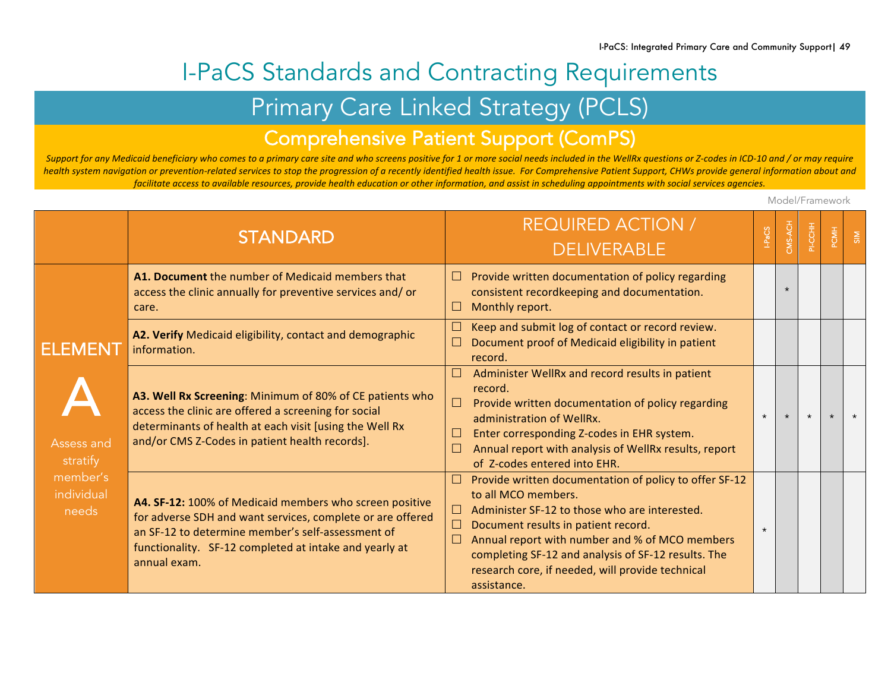# I-PaCS Standards and Contracting Requirements

## Primary Care Linked Strategy (PCLS)

### Comprehensive Patient Support (ComPS)

Support for any Medicaid beneficiary who comes to a primary care site and who screens positive for 1 or more social needs included in the WellRx questions or Z-codes in ICD-10 and / or may require health system navigation or prevention-related services to stop the progression of a recently identified health issue. For Comprehensive Patient Support, CHWs provide general information about and facilitate access to available resources, provide health education or other information, and assist in scheduling appointments with social services agencies.

Model/Framework

|                                                                      | <b>STANDARD</b>                                                                                                                                                                                                                                      | <b>REQUIRED ACTION /</b><br><b>DELIVERABLE</b>                                                                                                                                                                                                                                                                                                                        |         | PI-CCHH | PCMH | $\frac{5}{5}$ |
|----------------------------------------------------------------------|------------------------------------------------------------------------------------------------------------------------------------------------------------------------------------------------------------------------------------------------------|-----------------------------------------------------------------------------------------------------------------------------------------------------------------------------------------------------------------------------------------------------------------------------------------------------------------------------------------------------------------------|---------|---------|------|---------------|
|                                                                      | A1. Document the number of Medicaid members that<br>access the clinic annually for preventive services and/or<br>care.                                                                                                                               | Provide written documentation of policy regarding<br>$\Box$<br>consistent recordkeeping and documentation.<br>Monthly report.<br>ш                                                                                                                                                                                                                                    |         |         |      |               |
| ELEMENT<br>Assess and<br>stratify<br>member's<br>individual<br>needs | A2. Verify Medicaid eligibility, contact and demographic<br>information.                                                                                                                                                                             | Keep and submit log of contact or record review.<br>Document proof of Medicaid eligibility in patient<br>record.                                                                                                                                                                                                                                                      |         |         |      |               |
|                                                                      | A3. Well Rx Screening: Minimum of 80% of CE patients who<br>access the clinic are offered a screening for social<br>determinants of health at each visit [using the Well Rx<br>and/or CMS Z-Codes in patient health records].                        | Administer WellRx and record results in patient<br>record.<br>Provide written documentation of policy regarding<br>$\Box$<br>administration of WellRx.<br>Enter corresponding Z-codes in EHR system.<br>ப<br>Annual report with analysis of WellRx results, report<br>of Z-codes entered into EHR.                                                                    | $\star$ | $\star$ |      | $\star$       |
|                                                                      | A4. SF-12: 100% of Medicaid members who screen positive<br>for adverse SDH and want services, complete or are offered<br>an SF-12 to determine member's self-assessment of<br>functionality. SF-12 completed at intake and yearly at<br>annual exam. | Provide written documentation of policy to offer SF-12<br>to all MCO members.<br>Administer SF-12 to those who are interested.<br>$\Box$<br>$\Box$<br>Document results in patient record.<br>Annual report with number and % of MCO members<br>completing SF-12 and analysis of SF-12 results. The<br>research core, if needed, will provide technical<br>assistance. | $\star$ |         |      |               |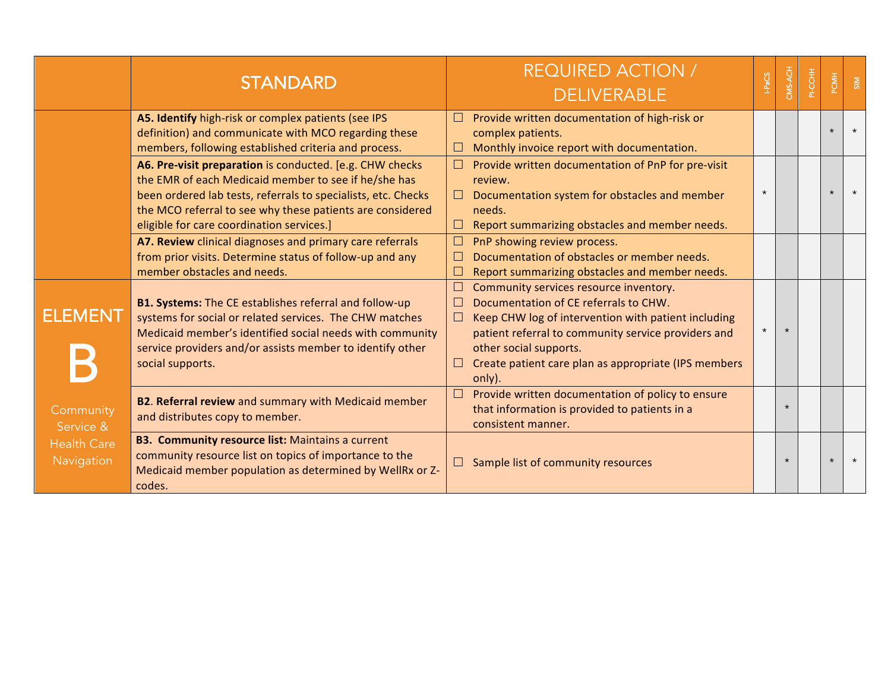|                                  | <b>STANDARD</b>                                                                                                                                                                                                                                                                             | <b>REQUIRED ACTION /</b><br><b>DELIVERABLE</b>                                                                                                                                                                                                                                                                | უ       | CMS-ACH | PI-CCHH | PCMH    | $\frac{8}{5}$ |
|----------------------------------|---------------------------------------------------------------------------------------------------------------------------------------------------------------------------------------------------------------------------------------------------------------------------------------------|---------------------------------------------------------------------------------------------------------------------------------------------------------------------------------------------------------------------------------------------------------------------------------------------------------------|---------|---------|---------|---------|---------------|
|                                  | A5. Identify high-risk or complex patients (see IPS<br>definition) and communicate with MCO regarding these<br>members, following established criteria and process.                                                                                                                         | Provide written documentation of high-risk or<br>complex patients.<br>Monthly invoice report with documentation.<br>⊔                                                                                                                                                                                         |         |         |         | $\star$ |               |
|                                  | A6. Pre-visit preparation is conducted. [e.g. CHW checks<br>the EMR of each Medicaid member to see if he/she has<br>been ordered lab tests, referrals to specialists, etc. Checks<br>the MCO referral to see why these patients are considered<br>eligible for care coordination services.] | Provide written documentation of PnP for pre-visit<br>□<br>review.<br>Documentation system for obstacles and member<br>$\Box$<br>needs.<br>Report summarizing obstacles and member needs.<br>$\Box$                                                                                                           | $\star$ |         |         | $\star$ |               |
|                                  | A7. Review clinical diagnoses and primary care referrals<br>from prior visits. Determine status of follow-up and any<br>member obstacles and needs.                                                                                                                                         | PnP showing review process.<br>Documentation of obstacles or member needs.<br>Report summarizing obstacles and member needs.                                                                                                                                                                                  |         |         |         |         |               |
| <b>ELEMENT</b>                   | <b>B1. Systems:</b> The CE establishes referral and follow-up<br>systems for social or related services. The CHW matches<br>Medicaid member's identified social needs with community<br>service providers and/or assists member to identify other<br>social supports.                       | Community services resource inventory.<br>Documentation of CE referrals to CHW.<br>$\Box$<br>Keep CHW log of intervention with patient including<br>$\Box$<br>patient referral to community service providers and<br>other social supports.<br>Create patient care plan as appropriate (IPS members<br>only). | $\star$ |         |         |         |               |
| Community<br>Service &           | <b>B2. Referral review</b> and summary with Medicaid member<br>and distributes copy to member.                                                                                                                                                                                              | Provide written documentation of policy to ensure<br>□<br>that information is provided to patients in a<br>consistent manner.                                                                                                                                                                                 |         | $\star$ |         |         |               |
| <b>Health Care</b><br>Navigation | <b>B3. Community resource list: Maintains a current</b><br>community resource list on topics of importance to the<br>Medicaid member population as determined by WellRx or Z-<br>codes.                                                                                                     | Sample list of community resources                                                                                                                                                                                                                                                                            |         |         |         | $\star$ |               |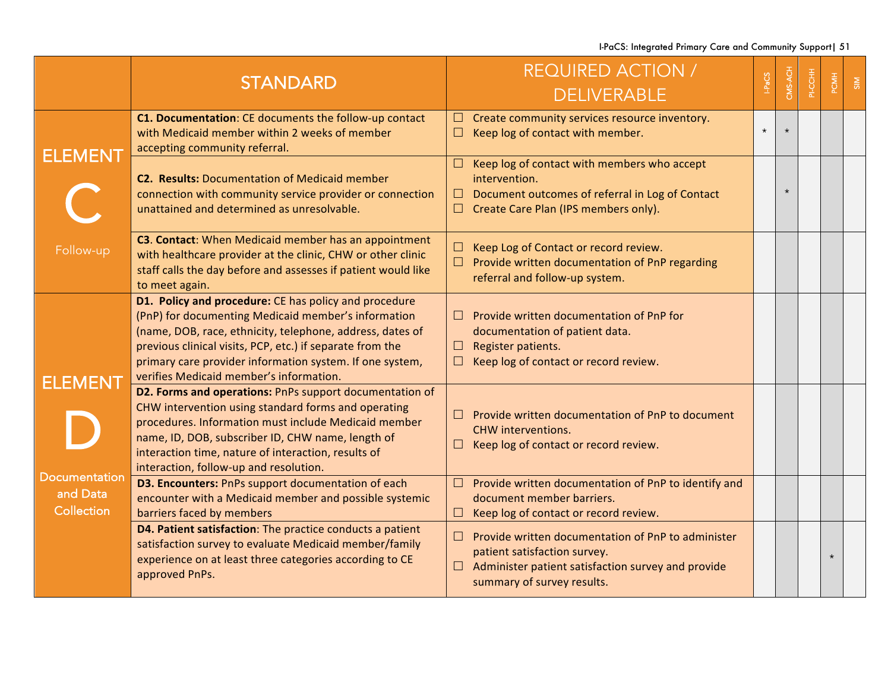I-PaCS: Integrated Primary Care and Community Support| 51

|                                                | <b>STANDARD</b>                                                                                                                                                                                                                                                                                                                               | <b>REQUIRED ACTION /</b><br><b>DELIVERABLE</b>                                                                                                                                           | HPaCS   | CMS-ACH | 동<br>영 | PCMH    | $\frac{8}{5}$ |
|------------------------------------------------|-----------------------------------------------------------------------------------------------------------------------------------------------------------------------------------------------------------------------------------------------------------------------------------------------------------------------------------------------|------------------------------------------------------------------------------------------------------------------------------------------------------------------------------------------|---------|---------|--------|---------|---------------|
| <b>ELEMENT</b>                                 | C1. Documentation: CE documents the follow-up contact<br>with Medicaid member within 2 weeks of member<br>accepting community referral.                                                                                                                                                                                                       | Create community services resource inventory.<br>ш<br>Keep log of contact with member.<br>ப                                                                                              | $\star$ | $\star$ |        |         |               |
|                                                | <b>C2. Results: Documentation of Medicaid member</b><br>connection with community service provider or connection<br>unattained and determined as unresolvable.                                                                                                                                                                                | Keep log of contact with members who accept<br><b>Li</b><br>intervention.<br>Document outcomes of referral in Log of Contact<br>– ⊔<br>Create Care Plan (IPS members only).<br><b>LI</b> |         | $\star$ |        |         |               |
| Follow-up                                      | <b>C3. Contact:</b> When Medicaid member has an appointment<br>with healthcare provider at the clinic, CHW or other clinic<br>staff calls the day before and assesses if patient would like<br>to meet again.                                                                                                                                 | Keep Log of Contact or record review.<br>ப<br>Provide written documentation of PnP regarding<br>⊔ ∶<br>referral and follow-up system.                                                    |         |         |        |         |               |
| <b>ELEMENT</b>                                 | D1. Policy and procedure: CE has policy and procedure<br>(PnP) for documenting Medicaid member's information<br>(name, DOB, race, ethnicity, telephone, address, dates of<br>previous clinical visits, PCP, etc.) if separate from the<br>primary care provider information system. If one system,<br>verifies Medicaid member's information. | Provide written documentation of PnP for<br>ш<br>documentation of patient data.<br>Register patients.<br>ш<br>Keep log of contact or record review.                                      |         |         |        |         |               |
|                                                | D2. Forms and operations: PnPs support documentation of<br>CHW intervention using standard forms and operating<br>procedures. Information must include Medicaid member<br>name, ID, DOB, subscriber ID, CHW name, length of<br>interaction time, nature of interaction, results of<br>interaction, follow-up and resolution.                  | Provide written documentation of PnP to document<br>$\Box$<br><b>CHW</b> interventions.<br>Keep log of contact or record review.                                                         |         |         |        |         |               |
| <b>Documentation</b><br>and Data<br>Collection | D3. Encounters: PnPs support documentation of each<br>encounter with a Medicaid member and possible systemic<br>barriers faced by members                                                                                                                                                                                                     | Provide written documentation of PnP to identify and<br>ш<br>document member barriers.<br>Keep log of contact or record review.<br>$\Box$                                                |         |         |        |         |               |
|                                                | D4. Patient satisfaction: The practice conducts a patient<br>satisfaction survey to evaluate Medicaid member/family<br>experience on at least three categories according to CE<br>approved PnPs.                                                                                                                                              | Provide written documentation of PnP to administer<br>ш<br>patient satisfaction survey.<br>Administer patient satisfaction survey and provide<br>⊔ -<br>summary of survey results.       |         |         |        | $\star$ |               |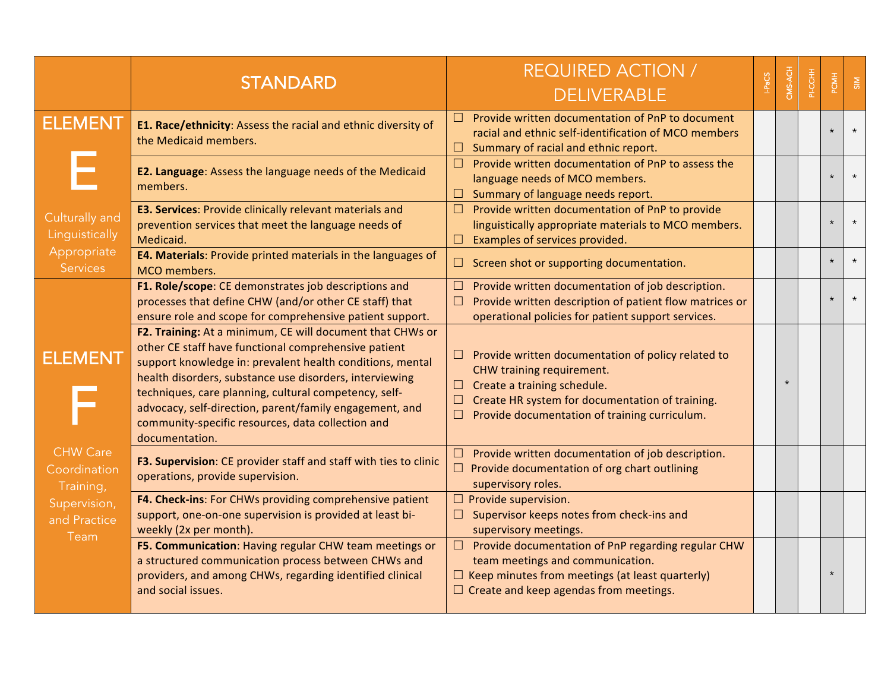|                                                    | <b>STANDARD</b>                                                                                                                                                                                                                                                                                                                                                                                                                      | <b>REQUIRED ACTION /</b><br><b>DELIVERABLE</b>                                                                                                                                                                                                |         | PI-CCHH | PCMH    | $\frac{5}{5}$ |
|----------------------------------------------------|--------------------------------------------------------------------------------------------------------------------------------------------------------------------------------------------------------------------------------------------------------------------------------------------------------------------------------------------------------------------------------------------------------------------------------------|-----------------------------------------------------------------------------------------------------------------------------------------------------------------------------------------------------------------------------------------------|---------|---------|---------|---------------|
| <b>ELEMENT</b><br>Culturally and<br>Linguistically | E1. Race/ethnicity: Assess the racial and ethnic diversity of<br>the Medicaid members.                                                                                                                                                                                                                                                                                                                                               | Provide written documentation of PnP to document<br>n.<br>racial and ethnic self-identification of MCO members<br>$\Box$ Summary of racial and ethnic report.                                                                                 |         |         |         |               |
|                                                    | E2. Language: Assess the language needs of the Medicaid<br>members.                                                                                                                                                                                                                                                                                                                                                                  | Provide written documentation of PnP to assess the<br>$\Box$<br>language needs of MCO members.<br>$\Box$ Summary of language needs report.                                                                                                    |         |         |         |               |
|                                                    | E3. Services: Provide clinically relevant materials and<br>prevention services that meet the language needs of<br>Medicaid.                                                                                                                                                                                                                                                                                                          | $\Box$ Provide written documentation of PnP to provide<br>linguistically appropriate materials to MCO members.<br>Examples of services provided.                                                                                              |         |         |         |               |
| Appropriate<br><b>Services</b>                     | E4. Materials: Provide printed materials in the languages of<br>MCO members.                                                                                                                                                                                                                                                                                                                                                         | $\Box$ Screen shot or supporting documentation.                                                                                                                                                                                               |         |         | $\star$ |               |
|                                                    | F1. Role/scope: CE demonstrates job descriptions and<br>processes that define CHW (and/or other CE staff) that<br>ensure role and scope for comprehensive patient support.                                                                                                                                                                                                                                                           | Provide written documentation of job description.<br>⊔<br>Provide written description of patient flow matrices or<br>$\Box$<br>operational policies for patient support services.                                                             |         |         |         |               |
| <b>ELEMENT</b>                                     | F2. Training: At a minimum, CE will document that CHWs or<br>other CE staff have functional comprehensive patient<br>support knowledge in: prevalent health conditions, mental<br>health disorders, substance use disorders, interviewing<br>techniques, care planning, cultural competency, self-<br>advocacy, self-direction, parent/family engagement, and<br>community-specific resources, data collection and<br>documentation. | $\Box$ Provide written documentation of policy related to<br>CHW training requirement.<br>$\Box$ Create a training schedule.<br>$\Box$ Create HR system for documentation of training.<br>Provide documentation of training curriculum.<br>L. | $\star$ |         |         |               |
| <b>CHW Care</b><br>Coordination<br>Training,       | F3. Supervision: CE provider staff and staff with ties to clinic<br>operations, provide supervision.                                                                                                                                                                                                                                                                                                                                 | $\Box$ Provide written documentation of job description.<br>$\Box$ Provide documentation of org chart outlining<br>supervisory roles.                                                                                                         |         |         |         |               |
| Supervision,<br>and Practice<br>Team               | F4. Check-ins: For CHWs providing comprehensive patient<br>support, one-on-one supervision is provided at least bi-<br>weekly (2x per month).                                                                                                                                                                                                                                                                                        | $\Box$ Provide supervision.<br>$\Box$ Supervisor keeps notes from check-ins and<br>supervisory meetings.                                                                                                                                      |         |         |         |               |
|                                                    | F5. Communication: Having regular CHW team meetings or<br>a structured communication process between CHWs and<br>providers, and among CHWs, regarding identified clinical<br>and social issues.                                                                                                                                                                                                                                      | $\Box$ Provide documentation of PnP regarding regular CHW<br>team meetings and communication.<br>$\Box$ Keep minutes from meetings (at least quarterly)<br>$\Box$ Create and keep agendas from meetings.                                      |         |         |         |               |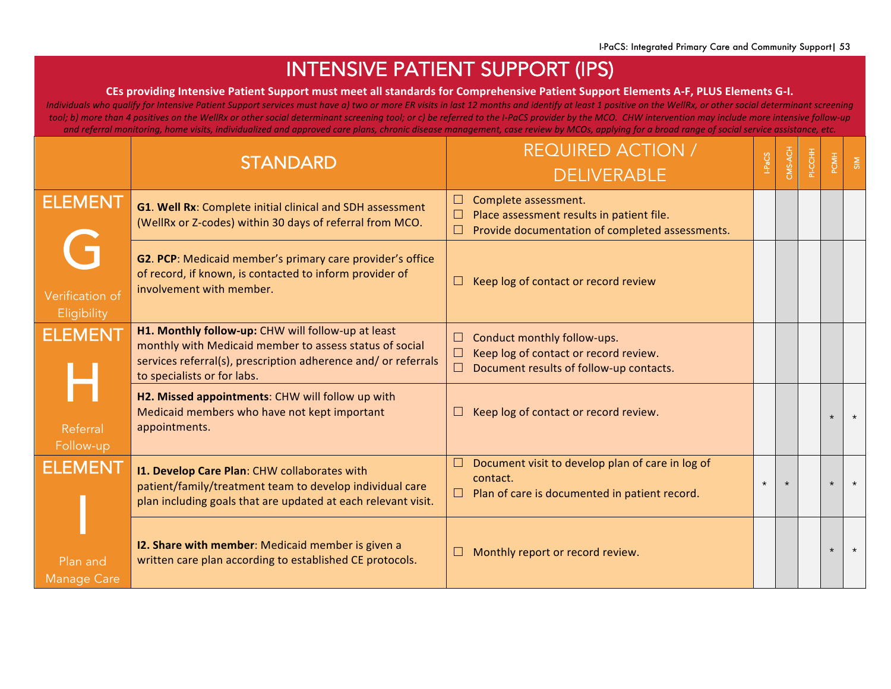## INTENSIVE PATIENT SUPPORT (IPS)

#### CEs providing Intensive Patient Support must meet all standards for Comprehensive Patient Support Elements A-F, PLUS Elements G-I.

*Individuals* who qualify for Intensive Patient Support services must have a) two or more ER visits in last 12 months and identify at least 1 positive on the WellRx, or other social determinant screening tool; b) more than 4 positives on the WellRx or other social determinant screening tool; or c) be referred to the I-PaCS provider by the MCO. CHW intervention may include more intensive follow-up and referral monitoring, home visits, individualized and approved care plans, chronic disease management, case review by MCOs, applying for a broad range of social service assistance, etc.

|                                     | <b>STANDARD</b>                                                                                                                                                                                                | <b>REQUIRED ACTION /</b><br><b>DELIVERABLE</b>                                                                                           | <b>SOR-</b> | CMS-ACH | PI-CCHH | <b>POWH</b> | SIM     |
|-------------------------------------|----------------------------------------------------------------------------------------------------------------------------------------------------------------------------------------------------------------|------------------------------------------------------------------------------------------------------------------------------------------|-------------|---------|---------|-------------|---------|
| <b>ELEMENT</b>                      | G1. Well Rx: Complete initial clinical and SDH assessment<br>(WellRx or Z-codes) within 30 days of referral from MCO.                                                                                          | Complete assessment.<br>ப<br>Place assessment results in patient file.<br>$\Box$<br>Provide documentation of completed assessments.      |             |         |         |             |         |
| C<br>Verification of<br>Eligibility | G2. PCP: Medicaid member's primary care provider's office<br>of record, if known, is contacted to inform provider of<br>involvement with member.                                                               | Keep log of contact or record review                                                                                                     |             |         |         |             |         |
| <b>ELEMENT</b>                      | H1. Monthly follow-up: CHW will follow-up at least<br>monthly with Medicaid member to assess status of social<br>services referral(s), prescription adherence and/ or referrals<br>to specialists or for labs. | Conduct monthly follow-ups.<br>ப<br>Keep log of contact or record review.<br>$\Box$<br>Document results of follow-up contacts.<br>$\Box$ |             |         |         |             |         |
| Referral<br>Follow-up               | H2. Missed appointments: CHW will follow up with<br>Medicaid members who have not kept important<br>appointments.                                                                                              | Keep log of contact or record review.                                                                                                    |             |         |         |             | $\star$ |
| <b>ELEMENT</b>                      | I1. Develop Care Plan: CHW collaborates with<br>patient/family/treatment team to develop individual care<br>plan including goals that are updated at each relevant visit.                                      | Document visit to develop plan of care in log of<br>$\Box$<br>contact.<br>$\Box$ Plan of care is documented in patient record.           | $\star$     |         |         | $\star$     | $\star$ |
| Plan and<br><b>Manage Care</b>      | 12. Share with member: Medicaid member is given a<br>written care plan according to established CE protocols.                                                                                                  | Monthly report or record review.                                                                                                         |             |         |         | $\star$     | $\star$ |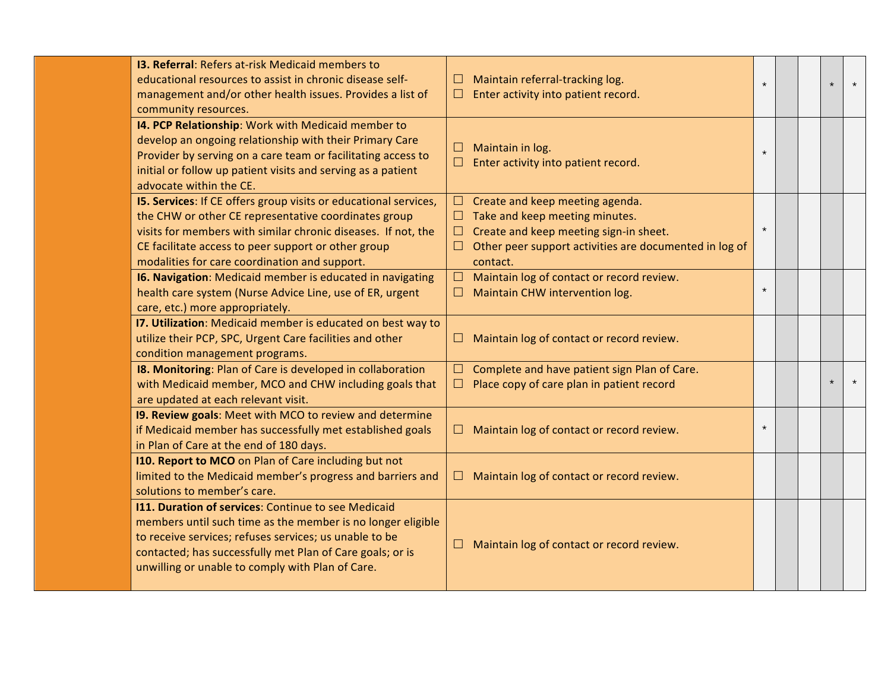| <b>13. Referral: Refers at-risk Medicaid members to</b><br>educational resources to assist in chronic disease self-<br>management and/or other health issues. Provides a list of<br>community resources.                                                                                          | Maintain referral-tracking log.<br>Enter activity into patient record.                                                                                                                   | $\star$ |  | $\star$ |         |
|---------------------------------------------------------------------------------------------------------------------------------------------------------------------------------------------------------------------------------------------------------------------------------------------------|------------------------------------------------------------------------------------------------------------------------------------------------------------------------------------------|---------|--|---------|---------|
| 14. PCP Relationship: Work with Medicaid member to<br>develop an ongoing relationship with their Primary Care<br>Provider by serving on a care team or facilitating access to<br>initial or follow up patient visits and serving as a patient<br>advocate within the CE.                          | Maintain in log.<br>Enter activity into patient record.                                                                                                                                  | $\star$ |  |         |         |
| I5. Services: If CE offers group visits or educational services,<br>the CHW or other CE representative coordinates group<br>visits for members with similar chronic diseases. If not, the<br>CE facilitate access to peer support or other group<br>modalities for care coordination and support. | $\Box$ Create and keep meeting agenda.<br>Take and keep meeting minutes.<br>Create and keep meeting sign-in sheet.<br>Other peer support activities are documented in log of<br>contact. | $\star$ |  |         |         |
| <b>16. Navigation:</b> Medicaid member is educated in navigating<br>health care system (Nurse Advice Line, use of ER, urgent<br>care, etc.) more appropriately.                                                                                                                                   | Maintain log of contact or record review.<br>⊔<br>Maintain CHW intervention log.                                                                                                         | $\star$ |  |         |         |
| 17. Utilization: Medicaid member is educated on best way to<br>utilize their PCP, SPC, Urgent Care facilities and other<br>condition management programs.                                                                                                                                         | Maintain log of contact or record review.                                                                                                                                                |         |  |         |         |
| I8. Monitoring: Plan of Care is developed in collaboration<br>with Medicaid member, MCO and CHW including goals that<br>are updated at each relevant visit.                                                                                                                                       | Complete and have patient sign Plan of Care.<br>Place copy of care plan in patient record<br>ப                                                                                           |         |  | $\star$ | $\star$ |
| 19. Review goals: Meet with MCO to review and determine<br>if Medicaid member has successfully met established goals<br>in Plan of Care at the end of 180 days.                                                                                                                                   | Maintain log of contact or record review.                                                                                                                                                | $\star$ |  |         |         |
| 110. Report to MCO on Plan of Care including but not<br>limited to the Medicaid member's progress and barriers and<br>solutions to member's care.                                                                                                                                                 | Maintain log of contact or record review.                                                                                                                                                |         |  |         |         |
| 111. Duration of services: Continue to see Medicaid<br>members until such time as the member is no longer eligible<br>to receive services; refuses services; us unable to be<br>contacted; has successfully met Plan of Care goals; or is<br>unwilling or unable to comply with Plan of Care.     | Maintain log of contact or record review.                                                                                                                                                |         |  |         |         |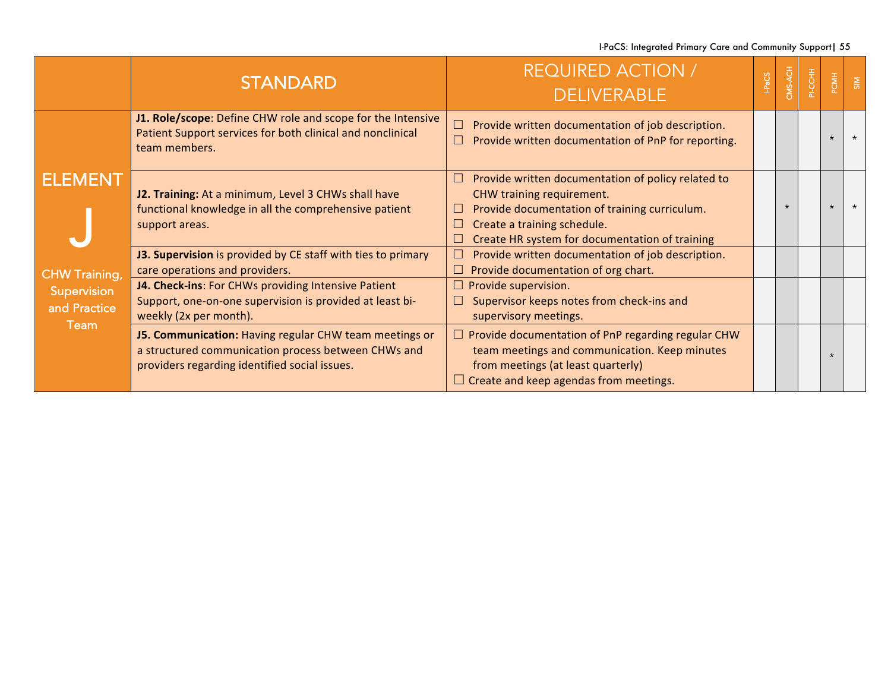I-PaCS: Integrated Primary Care and Community Support| 55

|                                                             | <b>STANDARD</b>                                                                                                                                                | <b>REQUIRED ACTION /</b><br><b>DELIVERABLE</b>                                                                                                                                                                                                        | CMS-ACH | PI-CCHH | PCMH    | $\frac{5}{5}$ |
|-------------------------------------------------------------|----------------------------------------------------------------------------------------------------------------------------------------------------------------|-------------------------------------------------------------------------------------------------------------------------------------------------------------------------------------------------------------------------------------------------------|---------|---------|---------|---------------|
| <b>ELEMENT</b>                                              | J1. Role/scope: Define CHW role and scope for the Intensive<br>Patient Support services for both clinical and nonclinical<br>team members.                     | Provide written documentation of job description.<br>$\Box$<br>Provide written documentation of PnP for reporting.                                                                                                                                    |         |         |         |               |
|                                                             | J2. Training: At a minimum, Level 3 CHWs shall have<br>functional knowledge in all the comprehensive patient<br>support areas.                                 | Provide written documentation of policy related to<br>$\mathbf{r}$<br>CHW training requirement.<br>Provide documentation of training curriculum.<br>$\Box$<br>Create a training schedule.<br>$\Box$<br>Create HR system for documentation of training |         |         | $\star$ |               |
|                                                             | J3. Supervision is provided by CE staff with ties to primary<br>care operations and providers.                                                                 | Provide written documentation of job description.<br>$\mathbf{I}$<br>$\Box$ Provide documentation of org chart.                                                                                                                                       |         |         |         |               |
| <b>CHW Training,</b><br>Supervision<br>and Practice<br>Team | J4. Check-ins: For CHWs providing Intensive Patient<br>Support, one-on-one supervision is provided at least bi-<br>weekly (2x per month).                      | $\Box$ Provide supervision.<br>Supervisor keeps notes from check-ins and<br>$\Box$<br>supervisory meetings.                                                                                                                                           |         |         |         |               |
|                                                             | J5. Communication: Having regular CHW team meetings or<br>a structured communication process between CHWs and<br>providers regarding identified social issues. | $\Box$ Provide documentation of PnP regarding regular CHW<br>team meetings and communication. Keep minutes<br>from meetings (at least quarterly)<br>$\Box$ Create and keep agendas from meetings.                                                     |         |         |         |               |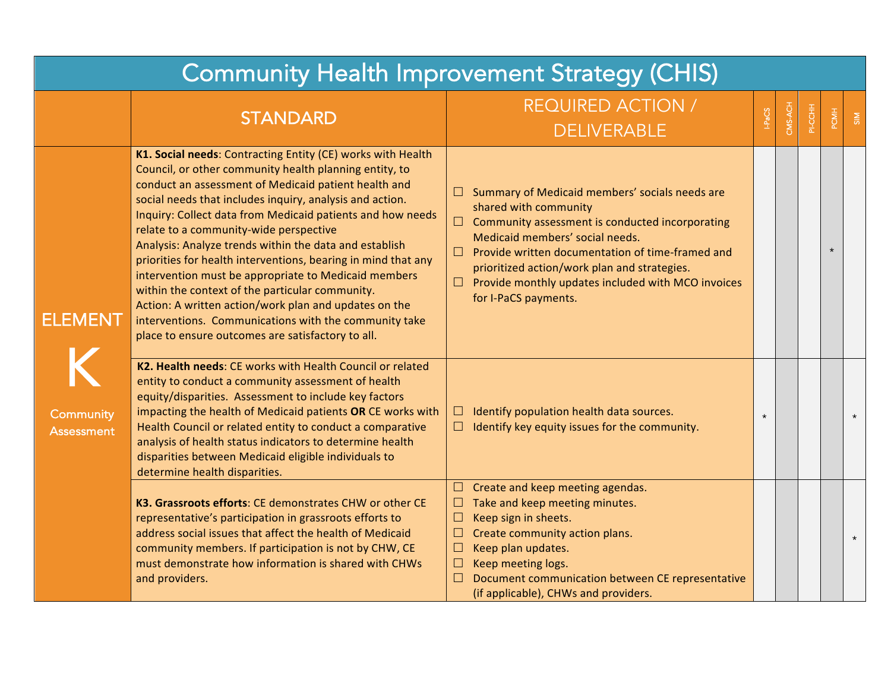| <b>Community Health Improvement Strategy (CHIS)</b> |                                                                                                                                                                                                                                                                                                                                                                                                                                                                                                                                                                                                                                                                                                                                                                |                                                                                                                                                                                                                                                                                                                                                                                    |         |         |         |      |               |  |  |  |
|-----------------------------------------------------|----------------------------------------------------------------------------------------------------------------------------------------------------------------------------------------------------------------------------------------------------------------------------------------------------------------------------------------------------------------------------------------------------------------------------------------------------------------------------------------------------------------------------------------------------------------------------------------------------------------------------------------------------------------------------------------------------------------------------------------------------------------|------------------------------------------------------------------------------------------------------------------------------------------------------------------------------------------------------------------------------------------------------------------------------------------------------------------------------------------------------------------------------------|---------|---------|---------|------|---------------|--|--|--|
|                                                     | <b>STANDARD</b>                                                                                                                                                                                                                                                                                                                                                                                                                                                                                                                                                                                                                                                                                                                                                | <b>REQUIRED ACTION /</b><br><b>DELIVERABLE</b>                                                                                                                                                                                                                                                                                                                                     | PaCS    | CMS-ACH | PI-CCHH | PCMH | $\frac{8}{3}$ |  |  |  |
| <b>ELEMENT</b><br>Community<br><b>Assessment</b>    | K1. Social needs: Contracting Entity (CE) works with Health<br>Council, or other community health planning entity, to<br>conduct an assessment of Medicaid patient health and<br>social needs that includes inquiry, analysis and action.<br>Inquiry: Collect data from Medicaid patients and how needs<br>relate to a community-wide perspective<br>Analysis: Analyze trends within the data and establish<br>priorities for health interventions, bearing in mind that any<br>intervention must be appropriate to Medicaid members<br>within the context of the particular community.<br>Action: A written action/work plan and updates on the<br>interventions. Communications with the community take<br>place to ensure outcomes are satisfactory to all. | Summary of Medicaid members' socials needs are<br>⊔<br>shared with community<br>Community assessment is conducted incorporating<br>$\Box$<br>Medicaid members' social needs.<br>Provide written documentation of time-framed and<br>$\Box$<br>prioritized action/work plan and strategies.<br>Provide monthly updates included with MCO invoices<br>$\Box$<br>for I-PaCS payments. |         |         |         |      |               |  |  |  |
|                                                     | K2. Health needs: CE works with Health Council or related<br>entity to conduct a community assessment of health<br>equity/disparities. Assessment to include key factors<br>impacting the health of Medicaid patients OR CE works with<br>Health Council or related entity to conduct a comparative<br>analysis of health status indicators to determine health<br>disparities between Medicaid eligible individuals to<br>determine health disparities.                                                                                                                                                                                                                                                                                                       | Identify population health data sources.<br>⊔<br>Identify key equity issues for the community.<br>$\Box$                                                                                                                                                                                                                                                                           | $\star$ |         |         |      | $\star$       |  |  |  |
|                                                     | K3. Grassroots efforts: CE demonstrates CHW or other CE<br>representative's participation in grassroots efforts to<br>address social issues that affect the health of Medicaid<br>community members. If participation is not by CHW, CE<br>must demonstrate how information is shared with CHWs<br>and providers.                                                                                                                                                                                                                                                                                                                                                                                                                                              | $\Box$ Create and keep meeting agendas.<br>Take and keep meeting minutes.<br>$\Box$<br>Keep sign in sheets.<br>$\Box$<br>Create community action plans.<br>$\Box$<br>Keep plan updates.<br>$\Box$<br>$\Box$<br>Keep meeting logs.<br>Document communication between CE representative<br>□<br>(if applicable), CHWs and providers.                                                 |         |         |         |      | $\star$       |  |  |  |